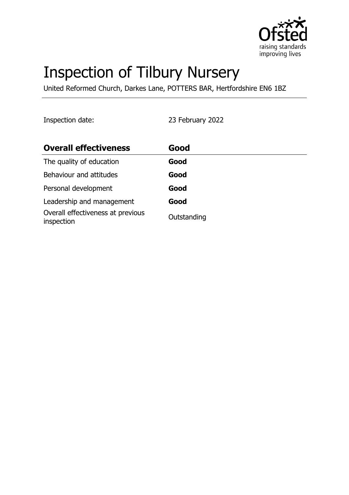

# Inspection of Tilbury Nursery

United Reformed Church, Darkes Lane, POTTERS BAR, Hertfordshire EN6 1BZ

Inspection date: 23 February 2022

| <b>Overall effectiveness</b>                    | Good        |
|-------------------------------------------------|-------------|
| The quality of education                        | Good        |
| Behaviour and attitudes                         | Good        |
| Personal development                            | Good        |
| Leadership and management                       | Good        |
| Overall effectiveness at previous<br>inspection | Outstanding |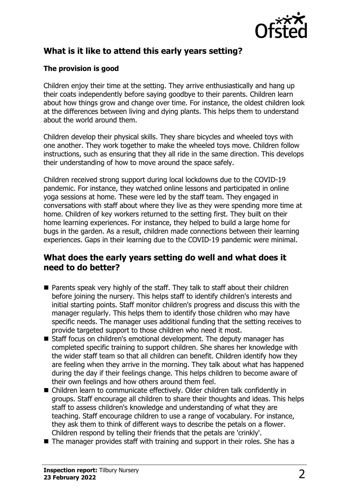

# **What is it like to attend this early years setting?**

## **The provision is good**

Children enjoy their time at the setting. They arrive enthusiastically and hang up their coats independently before saying goodbye to their parents. Children learn about how things grow and change over time. For instance, the oldest children look at the differences between living and dying plants. This helps them to understand about the world around them.

Children develop their physical skills. They share bicycles and wheeled toys with one another. They work together to make the wheeled toys move. Children follow instructions, such as ensuring that they all ride in the same direction. This develops their understanding of how to move around the space safely.

Children received strong support during local lockdowns due to the COVID-19 pandemic. For instance, they watched online lessons and participated in online yoga sessions at home. These were led by the staff team. They engaged in conversations with staff about where they live as they were spending more time at home. Children of key workers returned to the setting first. They built on their home learning experiences. For instance, they helped to build a large home for bugs in the garden. As a result, children made connections between their learning experiences. Gaps in their learning due to the COVID-19 pandemic were minimal.

## **What does the early years setting do well and what does it need to do better?**

- $\blacksquare$  Parents speak very highly of the staff. They talk to staff about their children before joining the nursery. This helps staff to identify children's interests and initial starting points. Staff monitor children's progress and discuss this with the manager regularly. This helps them to identify those children who may have specific needs. The manager uses additional funding that the setting receives to provide targeted support to those children who need it most.
- Staff focus on children's emotional development. The deputy manager has completed specific training to support children. She shares her knowledge with the wider staff team so that all children can benefit. Children identify how they are feeling when they arrive in the morning. They talk about what has happened during the day if their feelings change. This helps children to become aware of their own feelings and how others around them feel.
- Children learn to communicate effectively. Older children talk confidently in groups. Staff encourage all children to share their thoughts and ideas. This helps staff to assess children's knowledge and understanding of what they are teaching. Staff encourage children to use a range of vocabulary. For instance, they ask them to think of different ways to describe the petals on a flower. Children respond by telling their friends that the petals are 'crinkly'.
- $\blacksquare$  The manager provides staff with training and support in their roles. She has a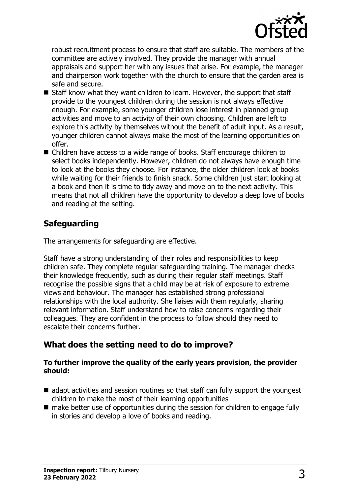

robust recruitment process to ensure that staff are suitable. The members of the committee are actively involved. They provide the manager with annual appraisals and support her with any issues that arise. For example, the manager and chairperson work together with the church to ensure that the garden area is safe and secure.

- Staff know what they want children to learn. However, the support that staff provide to the youngest children during the session is not always effective enough. For example, some younger children lose interest in planned group activities and move to an activity of their own choosing. Children are left to explore this activity by themselves without the benefit of adult input. As a result, younger children cannot always make the most of the learning opportunities on offer.
- Children have access to a wide range of books. Staff encourage children to select books independently. However, children do not always have enough time to look at the books they choose. For instance, the older children look at books while waiting for their friends to finish snack. Some children just start looking at a book and then it is time to tidy away and move on to the next activity. This means that not all children have the opportunity to develop a deep love of books and reading at the setting.

# **Safeguarding**

The arrangements for safeguarding are effective.

Staff have a strong understanding of their roles and responsibilities to keep children safe. They complete regular safeguarding training. The manager checks their knowledge frequently, such as during their regular staff meetings. Staff recognise the possible signs that a child may be at risk of exposure to extreme views and behaviour. The manager has established strong professional relationships with the local authority. She liaises with them regularly, sharing relevant information. Staff understand how to raise concerns regarding their colleagues. They are confident in the process to follow should they need to escalate their concerns further.

# **What does the setting need to do to improve?**

#### **To further improve the quality of the early years provision, the provider should:**

- $\blacksquare$  adapt activities and session routines so that staff can fully support the youngest children to make the most of their learning opportunities
- $\blacksquare$  make better use of opportunities during the session for children to engage fully in stories and develop a love of books and reading.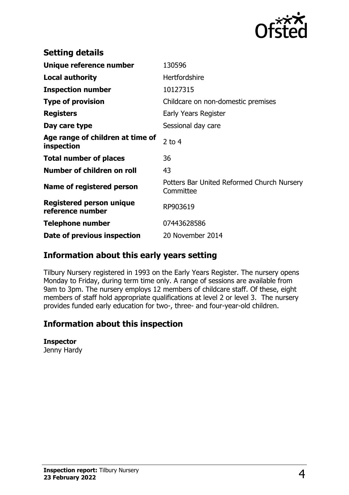

| <b>Setting details</b>                              |                                                         |
|-----------------------------------------------------|---------------------------------------------------------|
| Unique reference number                             | 130596                                                  |
| <b>Local authority</b>                              | <b>Hertfordshire</b>                                    |
| <b>Inspection number</b>                            | 10127315                                                |
| <b>Type of provision</b>                            | Childcare on non-domestic premises                      |
| <b>Registers</b>                                    | Early Years Register                                    |
| Day care type                                       | Sessional day care                                      |
| Age range of children at time of<br>inspection      | $2$ to 4                                                |
| <b>Total number of places</b>                       | 36                                                      |
| Number of children on roll                          | 43                                                      |
| Name of registered person                           | Potters Bar United Reformed Church Nursery<br>Committee |
| <b>Registered person unique</b><br>reference number | RP903619                                                |
| <b>Telephone number</b>                             | 07443628586                                             |
| Date of previous inspection                         | 20 November 2014                                        |

# **Information about this early years setting**

Tilbury Nursery registered in 1993 on the Early Years Register. The nursery opens Monday to Friday, during term time only. A range of sessions are available from 9am to 3pm. The nursery employs 12 members of childcare staff. Of these, eight members of staff hold appropriate qualifications at level 2 or level 3. The nursery provides funded early education for two-, three- and four-year-old children.

## **Information about this inspection**

#### **Inspector**

Jenny Hardy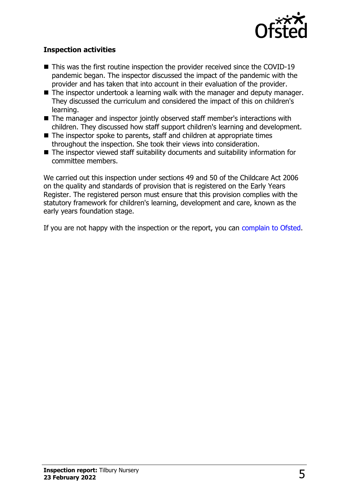

### **Inspection activities**

- $\blacksquare$  This was the first routine inspection the provider received since the COVID-19 pandemic began. The inspector discussed the impact of the pandemic with the provider and has taken that into account in their evaluation of the provider.
- $\blacksquare$  The inspector undertook a learning walk with the manager and deputy manager. They discussed the curriculum and considered the impact of this on children's learning.
- The manager and inspector jointly observed staff member's interactions with children. They discussed how staff support children's learning and development.
- The inspector spoke to parents, staff and children at appropriate times throughout the inspection. She took their views into consideration.
- $\blacksquare$  The inspector viewed staff suitability documents and suitability information for committee members.

We carried out this inspection under sections 49 and 50 of the Childcare Act 2006 on the quality and standards of provision that is registered on the Early Years Register. The registered person must ensure that this provision complies with the statutory framework for children's learning, development and care, known as the early years foundation stage.

If you are not happy with the inspection or the report, you can [complain to Ofsted](http://www.gov.uk/complain-ofsted-report).